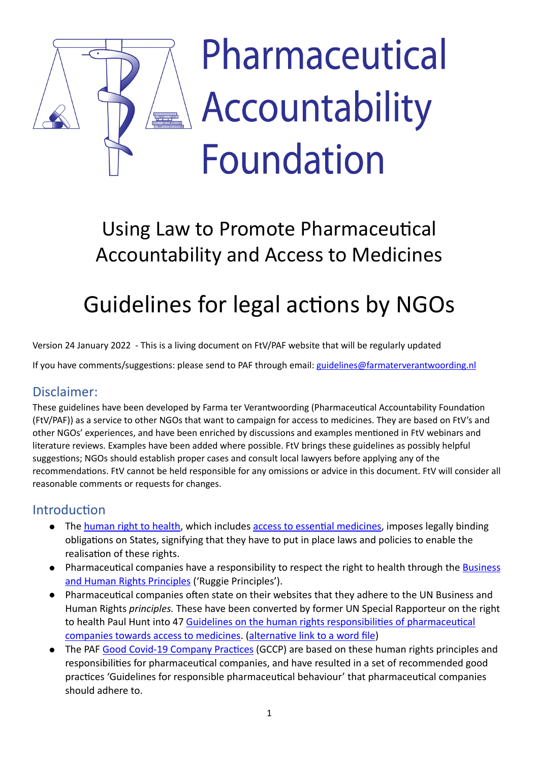# Pharmaceutical Accountability **Foundation**

# Using Law to Promote Pharmaceutical Accountability and Access to Medicines

# Guidelines for legal actions by NGOs

Version 24 January 2022 - This is a living document on FtV/PAF website that will be regularly updated

If you have comments/suggestions: please send to PAF through email: [guidelines@farmaterverantwoording.nl](mailto:guidelines@farmaterverantwoording.nl)

# Disclaimer:

These guidelines have been developed by Farma ter Verantwoording (Pharmaceutical Accountability Foundation (FtV/PAF)) as a service to other NGOs that want to campaign for access to medicines. They are based on FtV's and other NGOs' experiences, and have been enriched by discussions and examples mentioned in FtV webinars and literature reviews. Examples have been added where possible. FtV brings these guidelines as possibly helpful suggestions; NGOs should establish proper cases and consult local lawyers before applying any of the recommendations. FtV cannot be held responsible for any omissions or advice in this document. FtV will consider all reasonable comments or requests for changes.

# Introduction

- The human right to health, which includes access to essential medicines, imposes legally binding obligations on States, signifying that they have to put in place laws and policies to enable the realisation of these rights.
- Pharmaceutical companies have a responsibility to respect the right to health through the Business and Human Rights Principles ('Ruggie Principles').
- Pharmaceutical companies often state on their websites that they adhere to the UN Business and Human Rights *principles*. These have been converted by former UN Special Rapporteur on the right to health Paul Hunt into 47 Guidelines on the human rights responsibilities of pharmaceutical companies towards access to medicines. (alternative link to a word file)
- The PAF Good Covid-19 Company Practices (GCCP) are based on these human rights principles and responsibilities for pharmaceutical companies, and have resulted in a set of recommended good practices 'Guidelines for responsible pharmaceutical behaviour' that pharmaceutical companies should adhere to.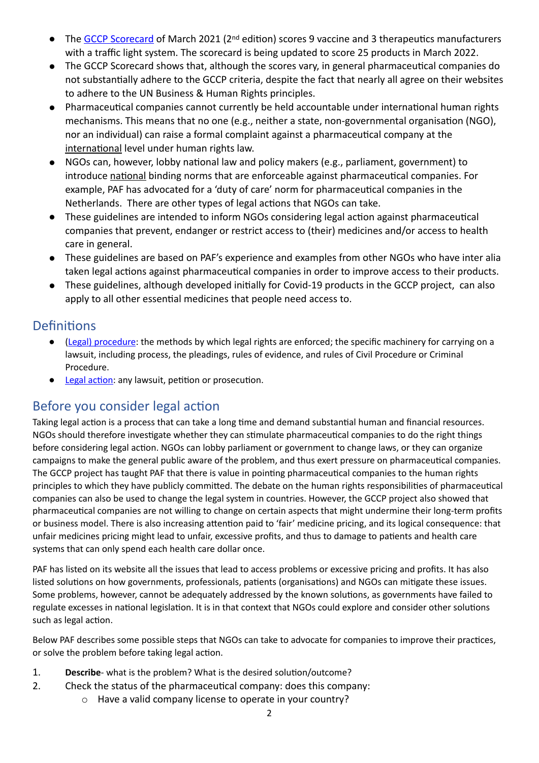- The GCCP Scorecard of March 2021 (2<sup>nd</sup> edition) scores 9 vaccine and 3 therapeutics manufacturers with a traffic light system. The scorecard is being updated to score 25 products in March 2022.
- The GCCP Scorecard shows that, although the scores vary, in general pharmaceutical companies do not substantially adhere to the GCCP criteria, despite the fact that nearly all agree on their websites to adhere to the UN Business & Human Rights principles.
- Pharmaceutical companies cannot currently be held accountable under international human rights mechanisms. This means that no one (e.g., neither a state, non-governmental organisation (NGO), nor an individual) can raise a formal complaint against a pharmaceutical company at the international level under human rights law.
- NGOs can, however, lobby national law and policy makers (e.g., parliament, government) to introduce national binding norms that are enforceable against pharmaceutical companies. For example, PAF has advocated for a 'duty of care' norm for pharmaceutical companies in the Netherlands. There are other types of legal actions that NGOs can take.
- These guidelines are intended to inform NGOs considering legal action against pharmaceutical companies that prevent, endanger or restrict access to (their) medicines and/or access to health care in general.
- These guidelines are based on PAF's experience and examples from other NGOs who have inter alia taken legal actions against pharmaceutical companies in order to improve access to their products.
- These guidelines, although developed initially for Covid-19 products in the GCCP project, can also apply to all other essential medicines that people need access to.

# **Definitions**

- (Legal) procedure: the methods by which legal rights are enforced; the specific machinery for carrying on a lawsuit, including process, the pleadings, rules of evidence, and rules of Civil Procedure or Criminal Procedure.
- Legal action: any lawsuit, petition or prosecution.

# Before you consider legal action

Taking legal action is a process that can take a long time and demand substantial human and financial resources. NGOs should therefore investigate whether they can stimulate pharmaceutical companies to do the right things before considering legal action. NGOs can lobby parliament or government to change laws, or they can organize campaigns to make the general public aware of the problem, and thus exert pressure on pharmaceutical companies. The GCCP project has taught PAF that there is value in pointing pharmaceutical companies to the human rights principles to which they have publicly committed. The debate on the human rights responsibilities of pharmaceutical companies can also be used to change the legal system in countries. However, the GCCP project also showed that pharmaceutical companies are not willing to change on certain aspects that might undermine their long-term profits or business model. There is also increasing attention paid to 'fair' medicine pricing, and its logical consequence: that unfair medicines pricing might lead to unfair, excessive profits, and thus to damage to patients and health care systems that can only spend each health care dollar once.

PAF has listed on its website all the issues that lead to access problems or excessive pricing and profits. It has also listed solutions on how governments, professionals, patients (organisations) and NGOs can mitigate these issues. Some problems, however, cannot be adequately addressed by the known solutions, as governments have failed to regulate excesses in national legislation. It is in that context that NGOs could explore and consider other solutions such as legal action.

Below PAF describes some possible steps that NGOs can take to advocate for companies to improve their practices, or solve the problem before taking legal action.

- 1. **Describe** what is the problem? What is the desired solution/outcome?
- 2. Check the status of the pharmaceutical company: does this company:
	- $\circ$  Have a valid company license to operate in your country?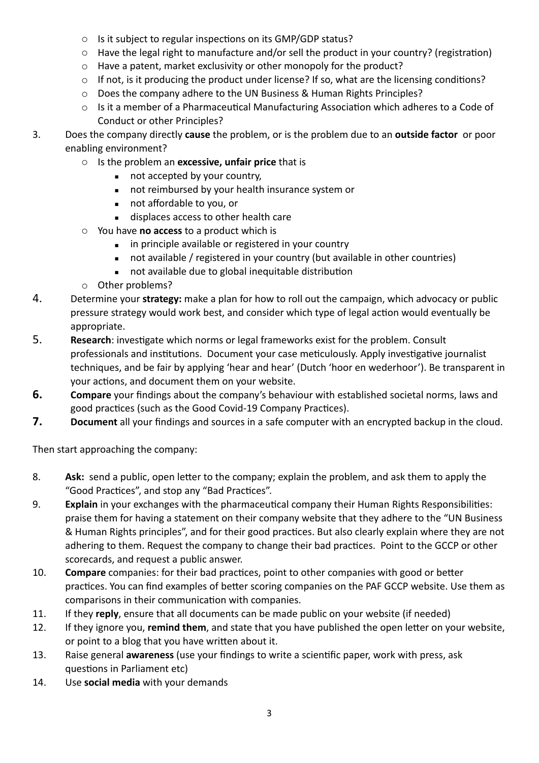- $\circ$  Is it subject to regular inspections on its GMP/GDP status?
- $\circ$  Have the legal right to manufacture and/or sell the product in your country? (registration)
- $\circ$  Have a patent, market exclusivity or other monopoly for the product?
- $\circ$  If not, is it producing the product under license? If so, what are the licensing conditions?
- $\circ$  Does the company adhere to the UN Business & Human Rights Principles?
- $\circ$  Is it a member of a Pharmaceutical Manufacturing Association which adheres to a Code of Conduct or other Principles?
- 3. Does the company directly **cause** the problem, or is the problem due to an **outside factor** or poor enabling environment?
	- o Is the problem an **excessive, unfair price** that is
		- not accepted by your country,
		- not reimbursed by your health insurance system or
		- not affordable to you, or
		- displaces access to other health care
	- o You have **no access** to a product which is
		- **EXED:** in principle available or registered in your country
		- not available / registered in your country (but available in other countries)
		- not available due to global inequitable distribution
	- o Other problems?
- 4. Determine your strategy: make a plan for how to roll out the campaign, which advocacy or public pressure strategy would work best, and consider which type of legal action would eventually be appropriate.
- 5. **Research**: investigate which norms or legal frameworks exist for the problem. Consult professionals and institutions. Document your case meticulously. Apply investigative journalist techniques, and be fair by applying 'hear and hear' (Dutch 'hoor en wederhoor'). Be transparent in your actions, and document them on your website.
- **6. Compare** your findings about the company's behaviour with established societal norms, laws and good practices (such as the Good Covid-19 Company Practices).
- **7. Document** all your findings and sources in a safe computer with an encrypted backup in the cloud.

Then start approaching the company:

- 8. Ask: send a public, open letter to the company; explain the problem, and ask them to apply the "Good Practices", and stop any "Bad Practices".
- 9. **Explain** in your exchanges with the pharmaceutical company their Human Rights Responsibilities: praise them for having a statement on their company website that they adhere to the "UN Business & Human Rights principles", and for their good practices. But also clearly explain where they are not adhering to them. Request the company to change their bad practices. Point to the GCCP or other scorecards, and request a public answer.
- 10. **Compare** companies: for their bad practices, point to other companies with good or better practices. You can find examples of better scoring companies on the PAF GCCP website. Use them as comparisons in their communication with companies.
- 11. If they reply, ensure that all documents can be made public on your website (if needed)
- 12. If they ignore you, remind them, and state that you have published the open letter on your website, or point to a blog that you have written about it.
- 13. Raise general **awareness** (use your findings to write a scientific paper, work with press, ask questions in Parliament etc)
- 14. Use **social media** with your demands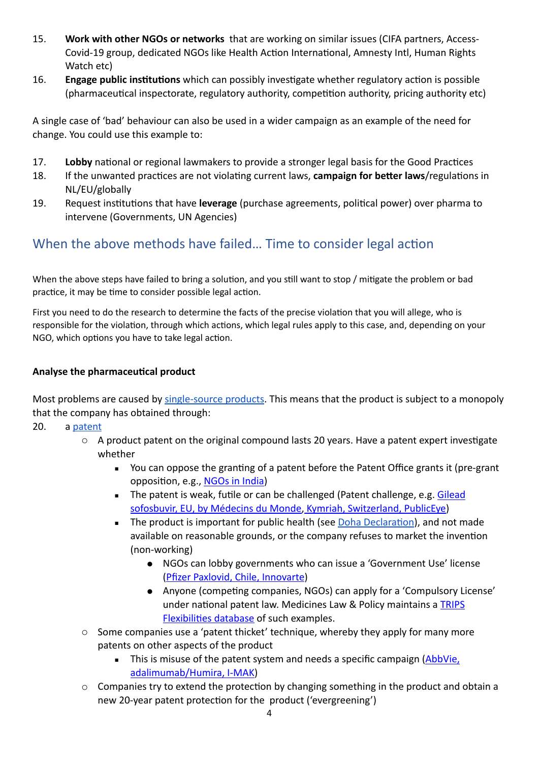- 15. **Work with other NGOs or networks** that are working on similar issues (CIFA partners, Access-Covid-19 group, dedicated NGOs like Health Action International, Amnesty Intl, Human Rights Watch etc)
- 16. **Engage public institutions** which can possibly investigate whether regulatory action is possible (pharmaceutical inspectorate, regulatory authority, competition authority, pricing authority etc)

A single case of 'bad' behaviour can also be used in a wider campaign as an example of the need for change. You could use this example to:

- 17. **Lobby** national or regional lawmakers to provide a stronger legal basis for the Good Practices
- 18. If the unwanted practices are not violating current laws, **campaign for better laws**/regulations in NL/EU/globally
- 19. Request institutions that have **leverage** (purchase agreements, political power) over pharma to intervene (Governments, UN Agencies)

# When the above methods have failed... Time to consider legal action

When the above steps have failed to bring a solution, and you still want to stop / mitigate the problem or bad practice, it may be time to consider possible legal action.

First you need to do the research to determine the facts of the precise violation that you will allege, who is responsible for the violation, through which actions, which legal rules apply to this case, and, depending on your NGO, which options you have to take legal action.

#### **Analyse the pharmaceutical product**

Most problems are caused by single-source products. This means that the product is subject to a monopoly that the company has obtained through:

20. a patent

- $\circ$  A product patent on the original compound lasts 20 years. Have a patent expert investigate whether
	- You can oppose the granting of a patent before the Patent Office grants it (pre-grant opposition, e.g., NGOs in India)
	- **The patent is weak, futile or can be challenged (Patent challenge, e.g. Gilead** sofosbuvir, EU, by Médecins du Monde, Kymriah, Switzerland, PublicEye)
	- The product is important for public health (see Doha Declaration), and not made available on reasonable grounds, or the company refuses to market the invention (non-working)
		- NGOs can lobby governments who can issue a 'Government Use' license (Pfizer Paxlovid, Chile, Innovarte)
		- Anyone (competing companies, NGOs) can apply for a 'Compulsory License' under national patent law. Medicines Law & Policy maintains a TRIPS Flexibilities database of such examples.
- $\circ$  Some companies use a 'patent thicket' technique, whereby they apply for many more patents on other aspects of the product
	- **EXECT:** This is misuse of the patent system and needs a specific campaign (AbbVie, adalimumab/Humira, I-MAK)
- $\circ$  Companies try to extend the protection by changing something in the product and obtain a new 20-year patent protection for the product ('evergreening')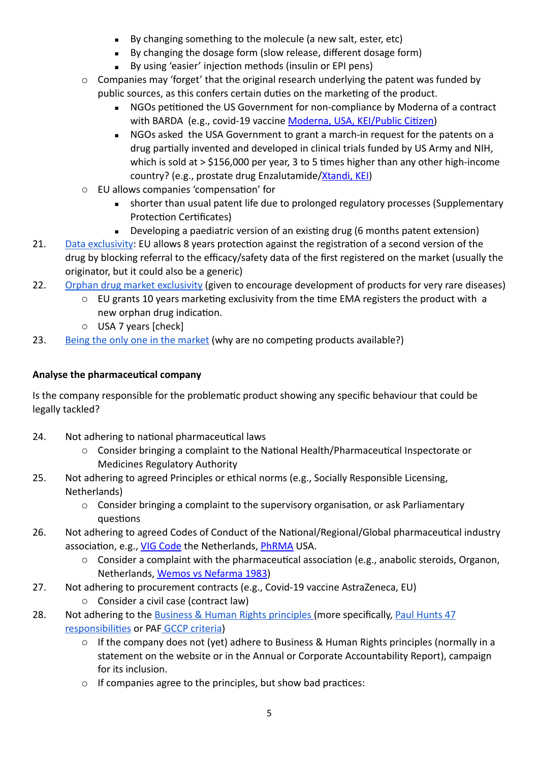- By changing something to the molecule (a new salt, ester, etc)
- By changing the dosage form (slow release, different dosage form)
- By using 'easier' injection methods (insulin or EPI pens)
- $\circ$  Companies may 'forget' that the original research underlying the patent was funded by public sources, as this confers certain duties on the marketing of the product.
	- NGOs petitioned the US Government for non-compliance by Moderna of a contract with BARDA (e.g., covid-19 vaccine Moderna, USA, KEI/Public Citizen)
	- NGOs asked the USA Government to grant a march-in request for the patents on a drug partially invented and developed in clinical trials funded by US Army and NIH, which is sold at  $>$  \$156,000 per year, 3 to 5 times higher than any other high-income country? (e.g., prostate drug Enzalutamide/Xtandi, KEI)
- o EU allows companies 'compensation' for
	- **EXECT** shorter than usual patent life due to prolonged regulatory processes (Supplementary Protection Certificates)
	- **EXEDEDEDIE:** Developing a paediatric version of an existing drug (6 months patent extension)
- 21. Data exclusivity: EU allows 8 years protection against the registration of a second version of the drug by blocking referral to the efficacy/safety data of the first registered on the market (usually the originator, but it could also be a generic)
- 22. Orphan drug market exclusivity (given to encourage development of products for very rare diseases)
	- $\circ$  EU grants 10 years marketing exclusivity from the time EMA registers the product with a new orphan drug indication.
	- o USA 7 years [check]
- 23. Being the only one in the market (why are no competing products available?)

## **Analyse the pharmaceutical company**

Is the company responsible for the problematic product showing any specific behaviour that could be legally tackled?

- 24. Not adhering to national pharmaceutical laws
	- o Consider bringing a complaint to the National Health/Pharmaceutical Inspectorate or Medicines Regulatory Authority
- 25. Not adhering to agreed Principles or ethical norms (e.g., Socially Responsible Licensing, Netherlands)
	- $\circ$  Consider bringing a complaint to the supervisory organisation, or ask Parliamentary questions
- 26. Not adhering to agreed Codes of Conduct of the National/Regional/Global pharmaceutical industry association, e.g., VIG Code the Netherlands, [PhRMA](https://www.phrma.org/about/codes-and-guidelines) USA.
	- $\circ$  Consider a complaint with the pharmaceutical association (e.g., anabolic steroids, Organon, Netherlands, Wemos vs Nefarma 1983)
- 27. Not adhering to procurement contracts (e.g., Covid-19 vaccine AstraZeneca, EU)
	- $\circ$  Consider a civil case (contract law)
- 28. Not adhering to the Business & Human Rights principles (more specifically, Paul Hunts 47 responsibilities or PAF GCCP criteria)
	- $\circ$  If the company does not (yet) adhere to Business & Human Rights principles (normally in a statement on the website or in the Annual or Corporate Accountability Report), campaign for its inclusion.
	- $\circ$  If companies agree to the principles, but show bad practices: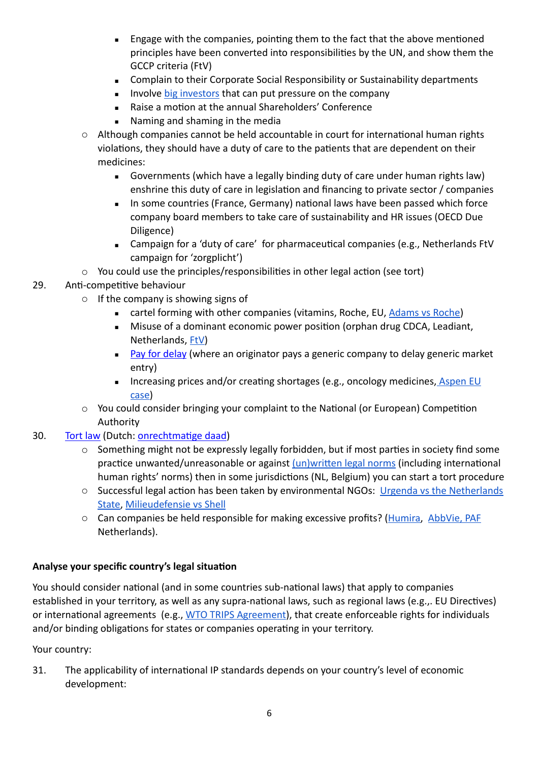- Engage with the companies, pointing them to the fact that the above mentioned principles have been converted into responsibilities by the UN, and show them the GCCP criteria (FtV)
- Complain to their Corporate Social Responsibility or Sustainability departments
- **EXED:** Involve big investors that can put pressure on the company
- Raise a motion at the annual Shareholders' Conference
- Naming and shaming in the media
- $\circ$  Although companies cannot be held accountable in court for international human rights violations, they should have a duty of care to the patients that are dependent on their medicines:
	- Governments (which have a legally binding duty of care under human rights law) enshrine this duty of care in legislation and financing to private sector / companies
	- **EXED:** In some countries (France, Germany) national laws have been passed which force company board members to take care of sustainability and HR issues (OECD Due Diligence)
	- Campaign for a 'duty of care' for pharmaceutical companies (e.g., Netherlands FtV campaign for 'zorgplicht')
- $\circ$  You could use the principles/responsibilities in other legal action (see tort)

## 29. Anti-competitive behaviour

- $\circ$  If the company is showing signs of
	- cartel forming with other companies (vitamins, Roche, EU, Adams vs Roche)
	- Misuse of a dominant economic power position (orphan drug CDCA, Leadiant, Netherlands, [FtV\)](https://www.farmaterverantwoording.nl/case-studies/cdca-leadiant/)
	- Pay for delay (where an originator pays a generic company to delay generic market entry)
	- **EXEDED:** Increasing prices and/or creating shortages (e.g., oncology medicines, Aspen EU [case](https://www.lexology.com/library/detail.aspx?g=8e569b30-c5cd-4a52-9780-cca2e1e14889))
- $\circ$  You could consider bringing your complaint to the National (or European) Competition Authority
- 30. Tort law (Dutch: onrechtmatige daad)
	- $\circ$  Something might not be expressly legally forbidden, but if most parties in society find some practice unwanted/unreasonable or against (un)written legal norms (including international human rights' norms) then in some jurisdictions (NL, Belgium) you can start a tort procedure
	- o Successful legal action has been taken by environmental NGOs: Urgenda vs the Netherlands [State,](https://www.lse.ac.uk/granthaminstitute/news/urgenda-v-state-of-the-netherlands-lessons-for-international-law-and-climate-change-litigants/) Milieudefensie vs Shell
	- o Can companies be held responsible for making excessive profits? ([Humira,](https://www.farmaterverantwoording.nl/humira-adalimumab/) AbbVie, PAF Netherlands).

## Analyse your specific country's legal situation

You should consider national (and in some countries sub-national laws) that apply to companies established in your territory, as well as any supra-national laws, such as regional laws (e.g.,. EU Directives) or international agreements (e.g., WTO TRIPS Agreement), that create enforceable rights for individuals and/or binding obligations for states or companies operating in your territory.

Your country:

31. The applicability of international IP standards depends on your country's level of economic development: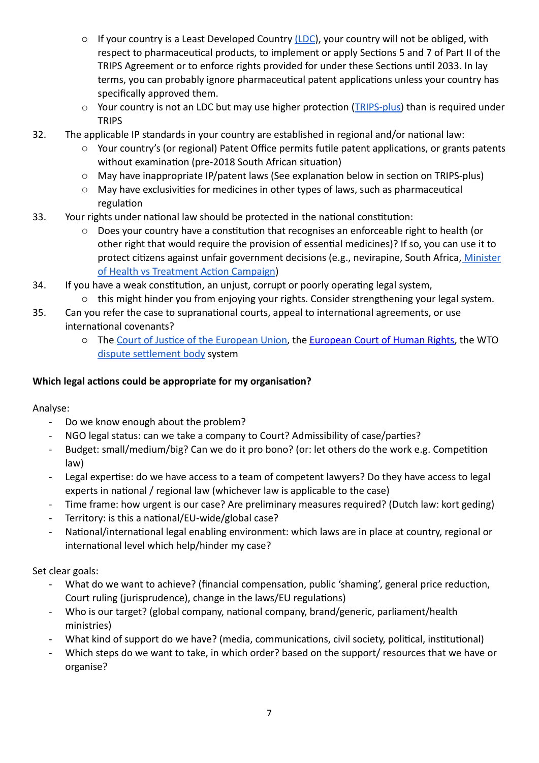- $\circ$  If your country is a Least Developed Country [\(LDC](https://unctad.org/topic/least-developed-countries/list)), your country will not be obliged, with respect to pharmaceutical products, to implement or apply Sections 5 and 7 of Part II of the TRIPS Agreement or to enforce rights provided for under these Sections until 2033. In lay terms, you can probably ignore pharmaceutical patent applications unless your country has specifically approved them.
- $\circ$  Your country is not an LDC but may use higher protection ([TRIPS-plus\)](https://msfaccess.org/spotlight-trips-trips-plus-and-doha) than is required under **TRIPS**
- 32. The applicable IP standards in your country are established in regional and/or national law:
	- $\circ$  Your country's (or regional) Patent Office permits futile patent applications, or grants patents without examination (pre-2018 South African situation)
	- $\circ$  May have inappropriate IP/patent laws (See explanation below in section on TRIPS-plus)
	- $\circ$  May have exclusivities for medicines in other types of laws, such as pharmaceutical regulation
- 33. Your rights under national law should be protected in the national constitution:
	- $\circ$  Does your country have a constitution that recognises an enforceable right to health (or other right that would require the provision of essential medicines)? If so, you can use it to protect citizens against unfair government decisions (e.g., nevirapine, South Africa, Minister of Health vs Treatment Action Campaign)
- 34. If you have a weak constitution, an unjust, corrupt or poorly operating legal system,  $\circ$  this might hinder you from enjoying your rights. Consider strengthening your legal system.
- 35. Can you refer the case to supranational courts, appeal to international agreements, or use international covenants?
	- o The Court of Justice of the European Union, the European Court of Human Rights, the WTO dispute settlement body system

#### **Which legal actions could be appropriate for my organisation?**

Analyse: 

- Do we know enough about the problem?
- NGO legal status: can we take a company to Court? Admissibility of case/parties?
- Budget: small/medium/big? Can we do it pro bono? (or: let others do the work e.g. Competition law)
- Legal expertise: do we have access to a team of competent lawyers? Do they have access to legal experts in national / regional law (whichever law is applicable to the case)
- Time frame: how urgent is our case? Are preliminary measures required? (Dutch law: kort geding)
- Territory: is this a national/EU-wide/global case?
- National/international legal enabling environment: which laws are in place at country, regional or international level which help/hinder my case?

Set clear goals:

- What do we want to achieve? (financial compensation, public 'shaming', general price reduction, Court ruling (jurisprudence), change in the laws/EU regulations)
- Who is our target? (global company, national company, brand/generic, parliament/health ministries)
- What kind of support do we have? (media, communications, civil society, political, institutional)
- Which steps do we want to take, in which order? based on the support/ resources that we have or organise?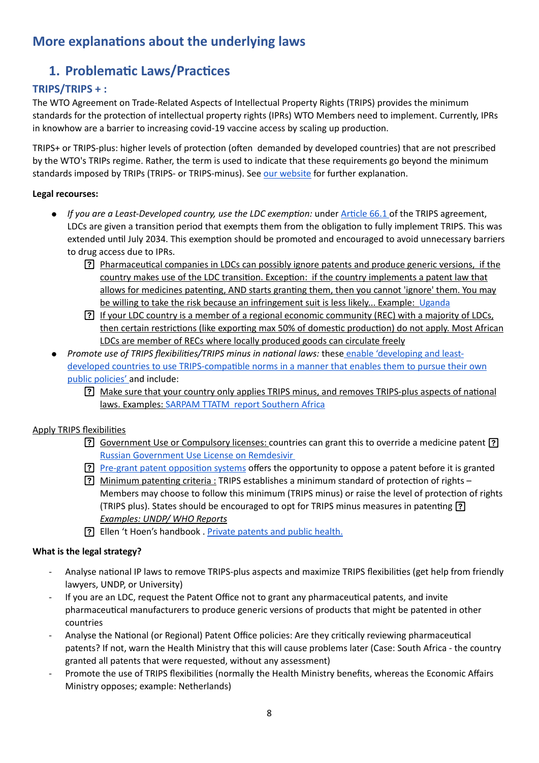# **More explanations about the underlying laws**

# **1. Problematic Laws/Practices**

#### TRIPS/TRIPS + :

The WTO Agreement on Trade-Related Aspects of Intellectual Property Rights (TRIPS) provides the minimum standards for the protection of intellectual property rights (IPRs) WTO Members need to implement. Currently, IPRs in knowhow are a barrier to increasing covid-19 vaccine access by scaling up production.

TRIPS+ or TRIPS-plus: higher levels of protection (often demanded by developed countries) that are not prescribed by the WTO's TRIPs regime. Rather, the term is used to indicate that these requirements go beyond the minimum standards imposed by TRIPs (TRIPS- or TRIPS-minus). See our website for further explanation.

#### Legal recourses:

- *If you are a Least-Developed country, use the LDC exemption:* under Article 66.1 of the TRIPS agreement, LDCs are given a transition period that exempts them from the obligation to fully implement TRIPS. This was extended until July 2034. This exemption should be promoted and encouraged to avoid unnecessary barriers to drug access due to IPRs.
	- Pharmaceutical companies in LDCs can possibly ignore patents and produce generic versions, if the country makes use of the LDC transition. Exception: if the country implements a patent law that allows for medicines patenting, AND starts granting them, then you cannot 'ignore' them. You may be willing to take the risk because an infringement suit is less likely... Example: Uganda
	- **[?]** If your LDC country is a member of a regional economic community (REC) with a majority of LDCs, then certain restrictions (like exporting max 50% of domestic production) do not apply. Most African LDCs are member of RECs where locally produced goods can circulate freely
- *Promote use of TRIPS flexibilities/TRIPS minus in national laws:* these enable 'developing and leastdeveloped countries to use TRIPS-compatible norms in a manner that enables them to pursue their own public policies' and include:
	- [?] Make sure that your country only applies TRIPS minus, and removes TRIPS-plus aspects of national laws. Examples: SARPAM TTATM report Southern Africa

#### Apply TRIPS flexibilities

- [?] Government Use or Compulsory licenses: countries can grant this to override a medicine patent [?] Russian Government Use License on Remdesivir
- Pre-grant patent opposition systems offers the opportunity to oppose a patent before it is granted
- [?] Minimum patenting criteria : TRIPS establishes a minimum standard of protection of rights Members may choose to follow this minimum (TRIPS minus) or raise the level of protection of rights (TRIPS plus). States should be encouraged to opt for TRIPS minus measures in patenting [?] **Examples: UNDP/ WHO Reports**
- **[?]** Ellen 't Hoen's handbook . Private patents and public health.

#### **What is the legal strategy?**

- Analyse national IP laws to remove TRIPS-plus aspects and maximize TRIPS flexibilities (get help from friendly lawyers, UNDP, or University)
- If you are an LDC, request the Patent Office not to grant any pharmaceutical patents, and invite pharmaceutical manufacturers to produce generic versions of products that might be patented in other countries
- Analyse the National (or Regional) Patent Office policies: Are they critically reviewing pharmaceutical patents? If not, warn the Health Ministry that this will cause problems later (Case: South Africa - the country granted all patents that were requested, without any assessment)
- Promote the use of TRIPS flexibilities (normally the Health Ministry benefits, whereas the Economic Affairs Ministry opposes; example: Netherlands)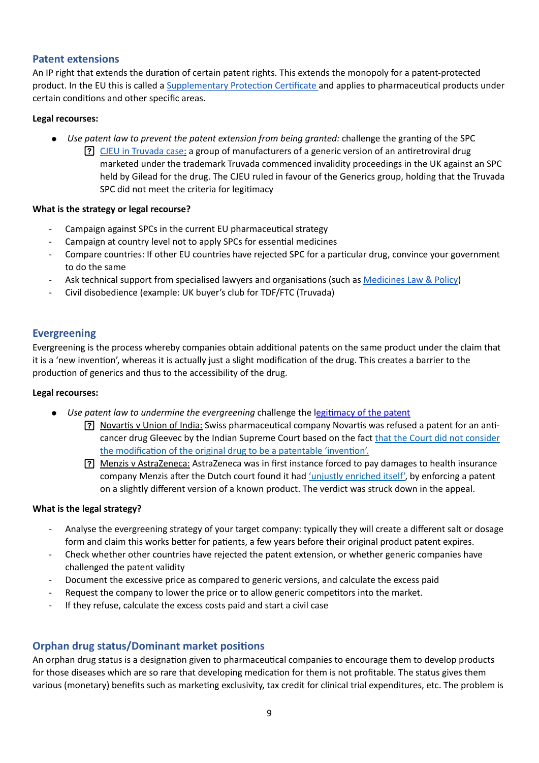#### **Patent extensions**

An IP right that extends the duration of certain patent rights. This extends the monopoly for a patent-protected product. In the EU this is called a Supplementary Protection Certificate and applies to pharmaceutical products under certain conditions and other specific areas.

#### Legal recourses:

- *Use patent law to prevent the patent extension from being granted:* challenge the granting of the SPC
	- **[?]** CJEU in Truvada case: a group of manufacturers of a generic version of an antiretroviral drug marketed under the trademark Truvada commenced invalidity proceedings in the UK against an SPC held by Gilead for the drug. The CJEU ruled in favour of the Generics group, holding that the Truvada SPC did not meet the criteria for legitimacy

#### **What is the strategy or legal recourse?**

- Campaign against SPCs in the current EU pharmaceutical strategy
- Campaign at country level not to apply SPCs for essential medicines
- Compare countries: If other EU countries have rejected SPC for a particular drug, convince your government to do the same
- Ask technical support from specialised lawyers and organisations (such as Medicines Law & Policy)
- Civil disobedience (example: UK buyer's club for TDF/FTC (Truvada)

#### **Evergreening**

Evergreening is the process whereby companies obtain additional patents on the same product under the claim that it is a 'new invention', whereas it is actually just a slight modification of the drug. This creates a barrier to the production of generics and thus to the accessibility of the drug.

#### Legal recourses:

- *Use patent law to undermine the evergreening* challenge the legitimacy of the patent
	- **[?]** Novartis v Union of India: Swiss pharmaceutical company Novartis was refused a patent for an anticancer drug Gleevec by the Indian Supreme Court based on the fact that the Court did not consider the modification of the original drug to be a patentable 'invention'.
	- [?] Menzis v AstraZeneca: AstraZeneca was in first instance forced to pay damages to health insurance company Menzis after the Dutch court found it had 'unjustly enriched itself', by enforcing a patent on a slightly different version of a known product. The verdict was struck down in the appeal.

#### **What is the legal strategy?**

- Analyse the evergreening strategy of your target company: typically they will create a different salt or dosage form and claim this works better for patients, a few years before their original product patent expires.
- Check whether other countries have rejected the patent extension, or whether generic companies have challenged the patent validity
- Document the excessive price as compared to generic versions, and calculate the excess paid
- Request the company to lower the price or to allow generic competitors into the market.
- If they refuse, calculate the excess costs paid and start a civil case

#### **Orphan drug status/Dominant market positions**

An orphan drug status is a designation given to pharmaceutical companies to encourage them to develop products for those diseases which are so rare that developing medication for them is not profitable. The status gives them various (monetary) benefits such as marketing exclusivity, tax credit for clinical trial expenditures, etc. The problem is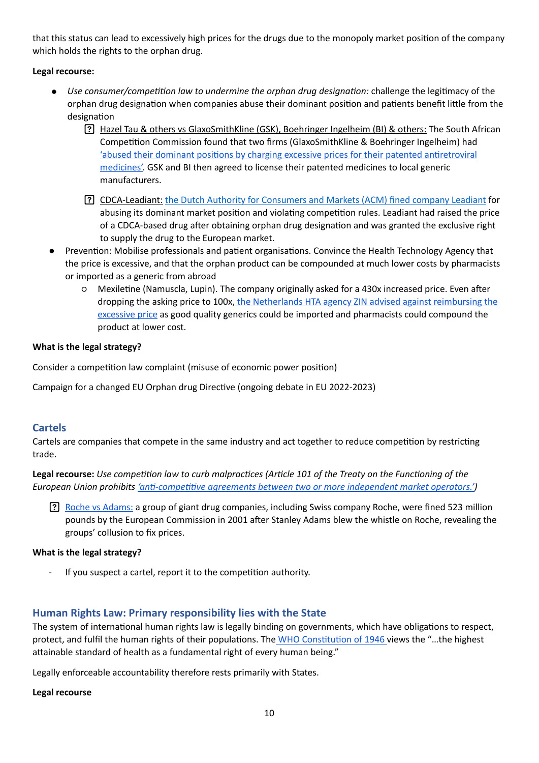that this status can lead to excessively high prices for the drugs due to the monopoly market position of the company which holds the rights to the orphan drug.

#### Legal recourse:

- *Use consumer/competition law to undermine the orphan drug designation:* challenge the legitimacy of the orphan drug designation when companies abuse their dominant position and patients benefit little from the designation
	- [?] Hazel Tau & others vs GlaxoSmithKline (GSK), Boehringer Ingelheim (BI) & others: The South African Competition Commission found that two firms (GlaxoSmithKline & Boehringer Ingelheim) had 'abused their dominant positions by charging excessive prices for their patented antiretroviral [medicines'.](https://unctad.org/ippcaselaw/sites/default/files/ippcaselaw/2020-12/Hazel%2520Tau%2520SA%2520Competition%2520Commission%2520v.%2520GSK%2520BI%2520et%2520al%25202002.pdf) GSK and BI then agreed to license their patented medicines to local generic manufacturers.
	- **[?]** CDCA-Leadiant: the Dutch Authority for Consumers and Markets (ACM) fined company Leadiant for abusing its dominant market position and violating competition rules. Leadiant had raised the price of a CDCA-based drug after obtaining orphan drug designation and was granted the exclusive right to supply the drug to the European market.
- Prevention: Mobilise professionals and patient organisations. Convince the Health Technology Agency that the price is excessive, and that the orphan product can be compounded at much lower costs by pharmacists or imported as a generic from abroad
	- $\circ$  Mexiletine (Namuscla, Lupin). The company originally asked for a 430x increased price. Even after dropping the asking price to 100x, the Netherlands HTA agency ZIN advised against reimbursing the excessive price as good quality generics could be imported and pharmacists could compound the product at lower cost.

#### **What is the legal strategy?**

Consider a competition law complaint (misuse of economic power position)

Campaign for a changed EU Orphan drug Directive (ongoing debate in EU 2022-2023)

#### **Cartels**

Cartels are companies that compete in the same industry and act together to reduce competition by restricting trade. 

Legal recourse: Use competition law to curb malpractices (Article 101 of the Treaty on the Functioning of the *European Union prohibits 'anti-competitive agreements between two or more independent market operators.'* 

Roche vs Adams: a group of giant drug companies, including Swiss company Roche, were fined 523 million pounds by the European Commission in 2001 after Stanley Adams blew the whistle on Roche, revealing the groups' collusion to fix prices.

#### **What is the legal strategy?**

If you suspect a cartel, report it to the competition authority.

#### Human Rights Law: Primary responsibility lies with the State

The system of international human rights law is legally binding on governments, which have obligations to respect, protect, and fulfil the human rights of their populations. The WHO Constitution of 1946 views the "...the highest attainable standard of health as a fundamental right of every human being."

Legally enforceable accountability therefore rests primarily with States.

#### **Legal recourse**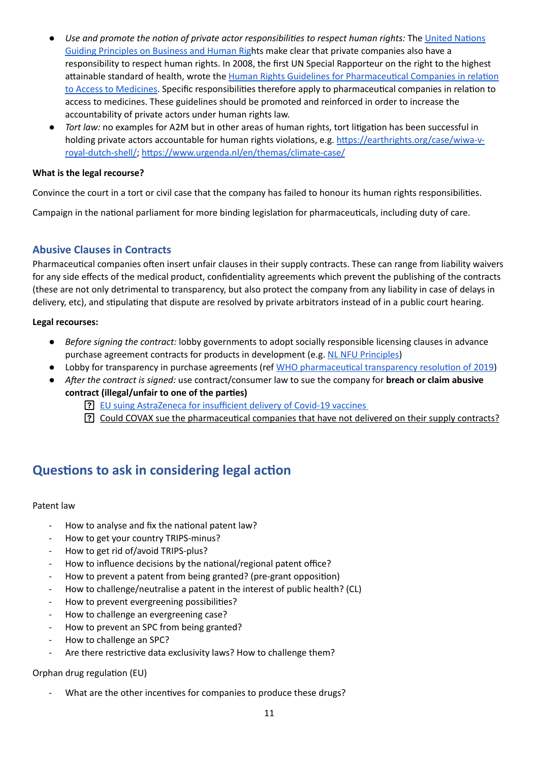- Use and promote the notion of private actor responsibilities to respect human rights: The United Nations Guiding Principles on Business and Human Rights make clear that private companies also have a responsibility to respect human rights. In 2008, the first UN Special Rapporteur on the right to the highest attainable standard of health, wrote the Human Rights Guidelines for Pharmaceutical Companies in relation to Access to Medicines. Specific responsibilities therefore apply to pharmaceutical companies in relation to access to medicines. These guidelines should be promoted and reinforced in order to increase the accountability of private actors under human rights law.
- *Tort law:* no examples for A2M but in other areas of human rights, tort litigation has been successful in holding private actors accountable for human rights violations, e.g. [https://earthrights.org/case/wiwa-v](https://earthrights.org/case/wiwa-v-royal-dutch-shell/)[royal-dutch-shell/](https://earthrights.org/case/wiwa-v-royal-dutch-shell/); <https://www.urgenda.nl/en/themas/climate-case/>

#### **What is the legal recourse?**

Convince the court in a tort or civil case that the company has failed to honour its human rights responsibilities.

Campaign in the national parliament for more binding legislation for pharmaceuticals, including duty of care.

#### **Abusive Clauses in Contracts**

Pharmaceutical companies often insert unfair clauses in their supply contracts. These can range from liability waivers for any side effects of the medical product, confidentiality agreements which prevent the publishing of the contracts (these are not only detrimental to transparency, but also protect the company from any liability in case of delays in delivery, etc), and stipulating that dispute are resolved by private arbitrators instead of in a public court hearing.

#### Legal recourses:

- *Before signing the contract:* lobby governments to adopt socially responsible licensing clauses in advance purchase agreement contracts for products in development (e.g. NL NFU Principles)
- Lobby for transparency in purchase agreements (ref WHO pharmaceutical transparency resolution of 2019)
- After the contract is signed: use contract/consumer law to sue the company for **breach or claim abusive** contract (illegal/unfair to one of the parties)
	- P. EU suing AstraZeneca for insufficient delivery of Covid-19 vaccines
	- [?] Could COVAX sue the pharmaceutical companies that have not delivered on their supply contracts?

# **Questions to ask in considering legal action**

#### Patent law

- How to analyse and fix the national patent law?
- How to get your country TRIPS-minus?
- How to get rid of/avoid TRIPS-plus?
- How to influence decisions by the national/regional patent office?
- How to prevent a patent from being granted? (pre-grant opposition)
- How to challenge/neutralise a patent in the interest of public health? (CL)
- How to prevent evergreening possibilities?
- How to challenge an evergreening case?
- How to prevent an SPC from being granted?
- How to challenge an SPC?
- Are there restrictive data exclusivity laws? How to challenge them?

#### Orphan drug regulation (EU)

What are the other incentives for companies to produce these drugs?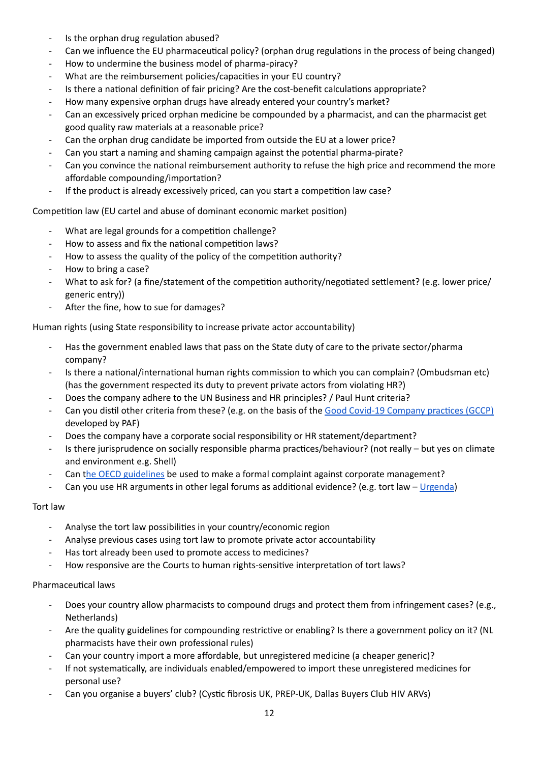- Is the orphan drug regulation abused?
- Can we influence the EU pharmaceutical policy? (orphan drug regulations in the process of being changed)
- How to undermine the business model of pharma-piracy?
- What are the reimbursement policies/capacities in your EU country?
- Is there a national definition of fair pricing? Are the cost-benefit calculations appropriate?
- How many expensive orphan drugs have already entered your country's market?
- Can an excessively priced orphan medicine be compounded by a pharmacist, and can the pharmacist get good quality raw materials at a reasonable price?
- Can the orphan drug candidate be imported from outside the EU at a lower price?
- Can you start a naming and shaming campaign against the potential pharma-pirate?
- Can you convince the national reimbursement authority to refuse the high price and recommend the more affordable compounding/importation?
- If the product is already excessively priced, can you start a competition law case?

Competition law (EU cartel and abuse of dominant economic market position)

- What are legal grounds for a competition challenge?
- How to assess and fix the national competition laws?
- How to assess the quality of the policy of the competition authority?
- How to bring a case?
- What to ask for? (a fine/statement of the competition authority/negotiated settlement? (e.g. lower price/ generic entry))
- After the fine, how to sue for damages?

Human rights (using State responsibility to increase private actor accountability)

- Has the government enabled laws that pass on the State duty of care to the private sector/pharma company?
- Is there a national/international human rights commission to which you can complain? (Ombudsman etc) (has the government respected its duty to prevent private actors from violating HR?)
- Does the company adhere to the UN Business and HR principles? / Paul Hunt criteria?
- Can you distil other criteria from these? (e.g. on the basis of the Good Covid-19 Company practices (GCCP) developed by PAF)
- Does the company have a corporate social responsibility or HR statement/department?
- Is there jurisprudence on socially responsible pharma practices/behaviour? (not really but yes on climate and environment e.g. Shell)
- Can the OECD guidelines be used to make a formal complaint against corporate management?
- Can you use HR arguments in other legal forums as additional evidence? (e.g. tort law [Urgenda\)](https://www.urgenda.nl/en/themas/climate-case/)

#### **Tort** law

- Analyse the tort law possibilities in your country/economic region
- Analyse previous cases using tort law to promote private actor accountability
- Has tort already been used to promote access to medicines?
- How responsive are the Courts to human rights-sensitive interpretation of tort laws?

#### Pharmaceutical laws

- Does your country allow pharmacists to compound drugs and protect them from infringement cases? (e.g., Netherlands)
- Are the quality guidelines for compounding restrictive or enabling? Is there a government policy on it? (NL pharmacists have their own professional rules)
- Can your country import a more affordable, but unregistered medicine (a cheaper generic)?
- If not systematically, are individuals enabled/empowered to import these unregistered medicines for personal use?
- Can you organise a buyers' club? (Cystic fibrosis UK, PREP-UK, Dallas Buyers Club HIV ARVs)